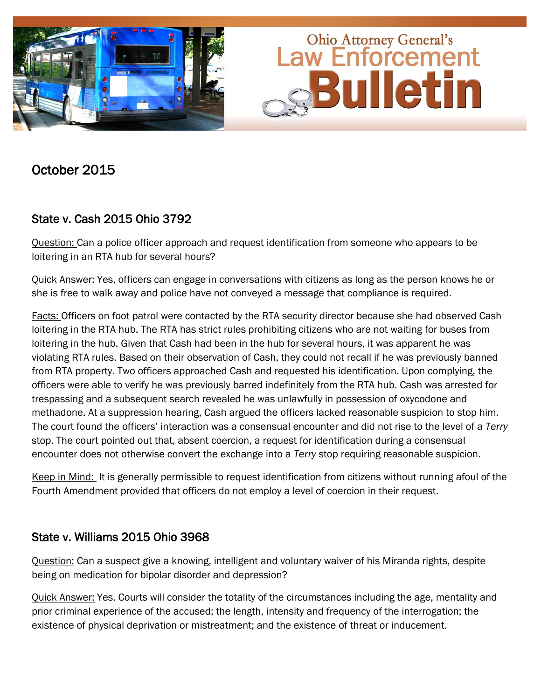

## October 2015

## State v. Cash 2015 Ohio 3792

Question: Can a police officer approach and request identification from someone who appears to be loitering in an RTA hub for several hours?

Quick Answer: Yes, officers can engage in conversations with citizens as long as the person knows he or she is free to walk away and police have not conveyed a message that compliance is required.

Facts: Officers on foot patrol were contacted by the RTA security director because she had observed Cash loitering in the RTA hub. The RTA has strict rules prohibiting citizens who are not waiting for buses from loitering in the hub. Given that Cash had been in the hub for several hours, it was apparent he was violating RTA rules. Based on their observation of Cash, they could not recall if he was previously banned from RTA property. Two officers approached Cash and requested his identification. Upon complying, the officers were able to verify he was previously barred indefinitely from the RTA hub. Cash was arrested for trespassing and a subsequent search revealed he was unlawfully in possession of oxycodone and methadone. At a suppression hearing, Cash argued the officers lacked reasonable suspicion to stop him. The court found the officers' interaction was a consensual encounter and did not rise to the level of a *Terry*  stop. The court pointed out that, absent coercion, a request for identification during a consensual encounter does not otherwise convert the exchange into a *Terry* stop requiring reasonable suspicion.

Keep in Mind: It is generally permissible to request identification from citizens without running afoul of the Fourth Amendment provided that officers do not employ a level of coercion in their request.

## State v. Williams 2015 Ohio 3968

Question: Can a suspect give a knowing, intelligent and voluntary waiver of his Miranda rights, despite being on medication for bipolar disorder and depression?

Quick Answer: Yes. Courts will consider the totality of the circumstances including the age, mentality and prior criminal experience of the accused; the length, intensity and frequency of the interrogation; the existence of physical deprivation or mistreatment; and the existence of threat or inducement.